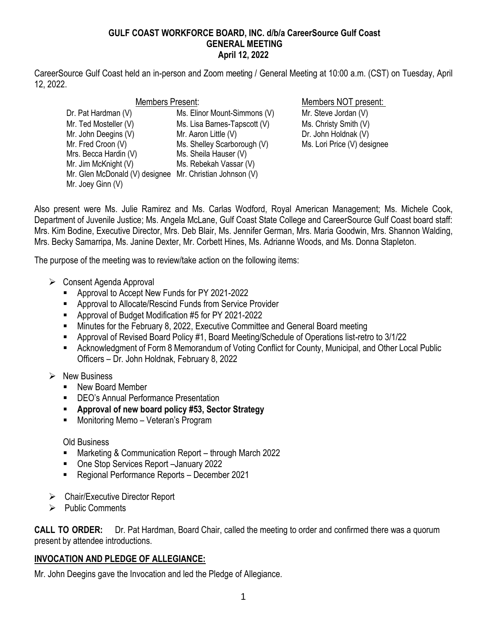### **GULF COAST WORKFORCE BOARD, INC. d/b/a CareerSource Gulf Coast GENERAL MEETING April 12, 2022**

CareerSource Gulf Coast held an in-person and Zoom meeting / General Meeting at 10:00 a.m. (CST) on Tuesday, April 12, 2022.

| Members Present:                                         |                              |
|----------------------------------------------------------|------------------------------|
| Dr. Pat Hardman (V)                                      | Ms. Elinor Mount-Simmons (V) |
| Mr. Ted Mosteller (V)                                    | Ms. Lisa Barnes-Tapscott (V) |
| Mr. John Deegins (V)                                     | Mr. Aaron Little (V)         |
| Mr. Fred Croon (V)                                       | Ms. Shelley Scarborough (V)  |
| Mrs. Becca Hardin (V)                                    | Ms. Sheila Hauser (V)        |
| Mr. Jim McKnight (V)                                     | Ms. Rebekah Vassar (V)       |
| Mr. Glen McDonald (V) designee Mr. Christian Johnson (V) |                              |
| Mr. Joey Ginn (V)                                        |                              |

Members NOT present:

) Mr. Steve Jordan (V) Ms. Christy Smith (V) Dr. John Holdnak (V) Ms. Lori Price (V) designee

Also present were Ms. Julie Ramirez and Ms. Carlas Wodford, Royal American Management; Ms. Michele Cook, Department of Juvenile Justice; Ms. Angela McLane, Gulf Coast State College and CareerSource Gulf Coast board staff: Mrs. Kim Bodine, Executive Director, Mrs. Deb Blair, Ms. Jennifer German, Mrs. Maria Goodwin, Mrs. Shannon Walding, Mrs. Becky Samarripa, Ms. Janine Dexter, Mr. Corbett Hines, Ms. Adrianne Woods, and Ms. Donna Stapleton.

The purpose of the meeting was to review/take action on the following items:

- ➢ Consent Agenda Approval
	- Approval to Accept New Funds for PY 2021-2022
	- Approval to Allocate/Rescind Funds from Service Provider
	- Approval of Budget Modification #5 for PY 2021-2022
	- Minutes for the February 8, 2022, Executive Committee and General Board meeting
	- Approval of Revised Board Policy #1, Board Meeting/Schedule of Operations list-retro to 3/1/22
	- Acknowledgment of Form 8 Memorandum of Voting Conflict for County, Municipal, and Other Local Public Officers – Dr. John Holdnak, February 8, 2022
- ➢ New Business
	- New Board Member
	- DEO's Annual Performance Presentation
	- **Approval of new board policy #53, Sector Strategy**
	- Monitoring Memo Veteran's Program

## Old Business

- Marketing & Communication Report through March 2022
- One Stop Services Report –January 2022
- Regional Performance Reports December 2021
- ➢ Chair/Executive Director Report
- ➢ Public Comments

**CALL TO ORDER:** Dr. Pat Hardman, Board Chair, called the meeting to order and confirmed there was a quorum present by attendee introductions.

# **INVOCATION AND PLEDGE OF ALLEGIANCE:**

Mr. John Deegins gave the Invocation and led the Pledge of Allegiance.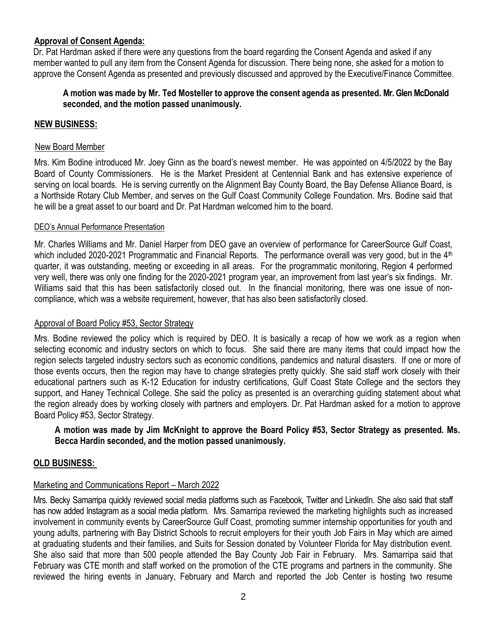## **Approval of Consent Agenda:**

Dr. Pat Hardman asked if there were any questions from the board regarding the Consent Agenda and asked if any member wanted to pull any item from the Consent Agenda for discussion. There being none, she asked for a motion to approve the Consent Agenda as presented and previously discussed and approved by the Executive/Finance Committee.

## **A motion was made by Mr. Ted Mosteller to approve the consent agenda as presented. Mr. Glen McDonald seconded, and the motion passed unanimously.**

## **NEW BUSINESS:**

### New Board Member

Mrs. Kim Bodine introduced Mr. Joey Ginn as the board's newest member. He was appointed on 4/5/2022 by the Bay Board of County Commissioners. He is the Market President at Centennial Bank and has extensive experience of serving on local boards. He is serving currently on the Alignment Bay County Board, the Bay Defense Alliance Board, is a Northside Rotary Club Member, and serves on the Gulf Coast Community College Foundation. Mrs. Bodine said that he will be a great asset to our board and Dr. Pat Hardman welcomed him to the board.

#### DEO's Annual Performance Presentation

Mr. Charles Williams and Mr. Daniel Harper from DEO gave an overview of performance for CareerSource Gulf Coast, which included 2020-2021 Programmatic and Financial Reports. The performance overall was very good, but in the 4<sup>th</sup> quarter, it was outstanding, meeting or exceeding in all areas. For the programmatic monitoring, Region 4 performed very well, there was only one finding for the 2020-2021 program year, an improvement from last year's six findings. Mr. Williams said that this has been satisfactorily closed out. In the financial monitoring, there was one issue of noncompliance, which was a website requirement, however, that has also been satisfactorily closed.

#### Approval of Board Policy #53, Sector Strategy

Mrs. Bodine reviewed the policy which is required by DEO. It is basically a recap of how we work as a region when selecting economic and industry sectors on which to focus. She said there are many items that could impact how the region selects targeted industry sectors such as economic conditions, pandemics and natural disasters. If one or more of those events occurs, then the region may have to change strategies pretty quickly. She said staff work closely with their educational partners such as K-12 Education for industry certifications, Gulf Coast State College and the sectors they support, and Haney Technical College. She said the policy as presented is an overarching guiding statement about what the region already does by working closely with partners and employers. Dr. Pat Hardman asked for a motion to approve Board Policy #53, Sector Strategy.

## **A motion was made by Jim McKnight to approve the Board Policy #53, Sector Strategy as presented. Ms. Becca Hardin seconded, and the motion passed unanimously.**

## **OLD BUSINESS:**

## Marketing and Communications Report – March 2022

Mrs. Becky Samarripa quickly reviewed social media platforms such as Facebook, Twitter and LinkedIn. She also said that staff has now added Instagram as a social media platform. Mrs. Samarripa reviewed the marketing highlights such as increased involvement in community events by CareerSource Gulf Coast, promoting summer internship opportunities for youth and young adults, partnering with Bay District Schools to recruit employers for their youth Job Fairs in May which are aimed at graduating students and their families, and Suits for Session donated by Volunteer Florida for May distribution event. She also said that more than 500 people attended the Bay County Job Fair in February. Mrs. Samarripa said that February was CTE month and staff worked on the promotion of the CTE programs and partners in the community. She reviewed the hiring events in January, February and March and reported the Job Center is hosting two resume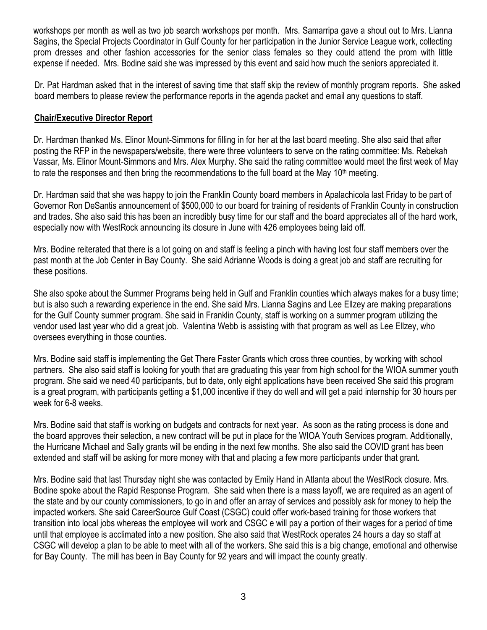workshops per month as well as two job search workshops per month. Mrs. Samarripa gave a shout out to Mrs. Lianna Sagins, the Special Projects Coordinator in Gulf County for her participation in the Junior Service League work, collecting prom dresses and other fashion accessories for the senior class females so they could attend the prom with little expense if needed. Mrs. Bodine said she was impressed by this event and said how much the seniors appreciated it.

Dr. Pat Hardman asked that in the interest of saving time that staff skip the review of monthly program reports. She asked board members to please review the performance reports in the agenda packet and email any questions to staff.

## **Chair/Executive Director Report**

Dr. Hardman thanked Ms. Elinor Mount-Simmons for filling in for her at the last board meeting. She also said that after posting the RFP in the newspapers/website, there were three volunteers to serve on the rating committee: Ms. Rebekah Vassar, Ms. Elinor Mount-Simmons and Mrs. Alex Murphy. She said the rating committee would meet the first week of May to rate the responses and then bring the recommendations to the full board at the May  $10<sup>th</sup>$  meeting.

Dr. Hardman said that she was happy to join the Franklin County board members in Apalachicola last Friday to be part of Governor Ron DeSantis announcement of \$500,000 to our board for training of residents of Franklin County in construction and trades. She also said this has been an incredibly busy time for our staff and the board appreciates all of the hard work, especially now with WestRock announcing its closure in June with 426 employees being laid off.

Mrs. Bodine reiterated that there is a lot going on and staff is feeling a pinch with having lost four staff members over the past month at the Job Center in Bay County. She said Adrianne Woods is doing a great job and staff are recruiting for these positions.

She also spoke about the Summer Programs being held in Gulf and Franklin counties which always makes for a busy time; but is also such a rewarding experience in the end. She said Mrs. Lianna Sagins and Lee Ellzey are making preparations for the Gulf County summer program. She said in Franklin County, staff is working on a summer program utilizing the vendor used last year who did a great job. Valentina Webb is assisting with that program as well as Lee Ellzey, who oversees everything in those counties.

Mrs. Bodine said staff is implementing the Get There Faster Grants which cross three counties, by working with school partners. She also said staff is looking for youth that are graduating this year from high school for the WIOA summer youth program. She said we need 40 participants, but to date, only eight applications have been received She said this program is a great program, with participants getting a \$1,000 incentive if they do well and will get a paid internship for 30 hours per week for 6-8 weeks.

Mrs. Bodine said that staff is working on budgets and contracts for next year. As soon as the rating process is done and the board approves their selection, a new contract will be put in place for the WIOA Youth Services program. Additionally, the Hurricane Michael and Sally grants will be ending in the next few months. She also said the COVID grant has been extended and staff will be asking for more money with that and placing a few more participants under that grant.

Mrs. Bodine said that last Thursday night she was contacted by Emily Hand in Atlanta about the WestRock closure. Mrs. Bodine spoke about the Rapid Response Program. She said when there is a mass layoff, we are required as an agent of the state and by our county commissioners, to go in and offer an array of services and possibly ask for money to help the impacted workers. She said CareerSource Gulf Coast (CSGC) could offer work-based training for those workers that transition into local jobs whereas the employee will work and CSGC e will pay a portion of their wages for a period of time until that employee is acclimated into a new position. She also said that WestRock operates 24 hours a day so staff at CSGC will develop a plan to be able to meet with all of the workers. She said this is a big change, emotional and otherwise for Bay County. The mill has been in Bay County for 92 years and will impact the county greatly.